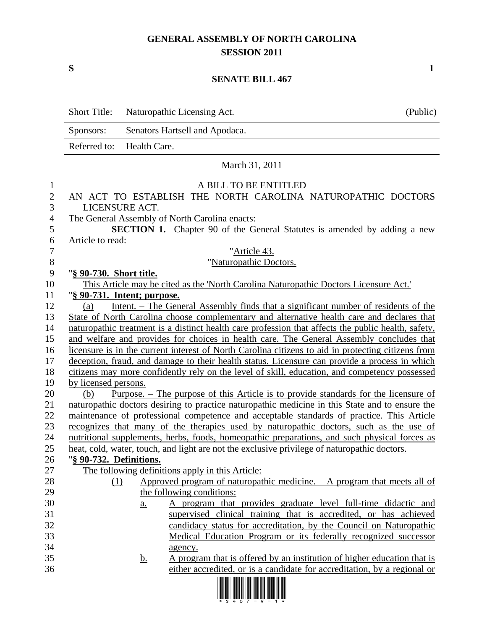## **GENERAL ASSEMBLY OF NORTH CAROLINA SESSION 2011**

## **SENATE BILL 467**

|                                                            | <b>Short Title:</b>         |                   | Naturopathic Licensing Act.                                                                  | (Public)                                                                                                                                                                                      |
|------------------------------------------------------------|-----------------------------|-------------------|----------------------------------------------------------------------------------------------|-----------------------------------------------------------------------------------------------------------------------------------------------------------------------------------------------|
|                                                            | Sponsors:                   |                   | Senators Hartsell and Apodaca.                                                               |                                                                                                                                                                                               |
|                                                            | Referred to:                | Health Care.      |                                                                                              |                                                                                                                                                                                               |
|                                                            |                             |                   | March 31, 2011                                                                               |                                                                                                                                                                                               |
| $\mathbf{1}$<br>$\overline{2}$<br>3<br>$\overline{4}$<br>5 |                             | LICENSURE ACT.    | A BILL TO BE ENTITLED<br>The General Assembly of North Carolina enacts:                      | AN ACT TO ESTABLISH THE NORTH CAROLINA NATUROPATHIC DOCTORS<br><b>SECTION 1.</b> Chapter 90 of the General Statutes is amended by adding a new                                                |
| 6<br>$\boldsymbol{7}$                                      | Article to read:            |                   | "Article 43.                                                                                 |                                                                                                                                                                                               |
| $\,8\,$                                                    |                             |                   | "Naturopathic Doctors.                                                                       |                                                                                                                                                                                               |
| 9<br>10                                                    | "§ 90-730. Short title.     |                   | This Article may be cited as the 'North Carolina Naturopathic Doctors Licensure Act.'        |                                                                                                                                                                                               |
| 11                                                         | "§ 90-731. Intent; purpose. |                   |                                                                                              |                                                                                                                                                                                               |
| 12                                                         | (a)                         |                   |                                                                                              | Intent. – The General Assembly finds that a significant number of residents of the                                                                                                            |
| 13                                                         |                             |                   |                                                                                              | State of North Carolina choose complementary and alternative health care and declares that                                                                                                    |
| 14                                                         |                             |                   |                                                                                              | naturopathic treatment is a distinct health care profession that affects the public health, safety,                                                                                           |
| 15                                                         |                             |                   |                                                                                              | and welfare and provides for choices in health care. The General Assembly concludes that                                                                                                      |
| 16                                                         |                             |                   |                                                                                              | licensure is in the current interest of North Carolina citizens to aid in protecting citizens from                                                                                            |
| 17                                                         |                             |                   |                                                                                              | deception, fraud, and damage to their health status. Licensure can provide a process in which                                                                                                 |
| 18                                                         |                             |                   |                                                                                              | citizens may more confidently rely on the level of skill, education, and competency possessed                                                                                                 |
| 19                                                         | by licensed persons.        |                   |                                                                                              |                                                                                                                                                                                               |
| 20<br>21                                                   | (b)                         |                   |                                                                                              | <u>Purpose. – The purpose of this Article is to provide standards for the licensure of</u><br>naturopathic doctors desiring to practice naturopathic medicine in this State and to ensure the |
| 22                                                         |                             |                   |                                                                                              | maintenance of professional competence and acceptable standards of practice. This Article                                                                                                     |
| 23                                                         |                             |                   |                                                                                              | recognizes that many of the therapies used by naturopathic doctors, such as the use of                                                                                                        |
| 24                                                         |                             |                   |                                                                                              | nutritional supplements, herbs, foods, homeopathic preparations, and such physical forces as                                                                                                  |
| 25                                                         |                             |                   | heat, cold, water, touch, and light are not the exclusive privilege of naturopathic doctors. |                                                                                                                                                                                               |
| 26                                                         | "§ 90-732. Definitions.     |                   |                                                                                              |                                                                                                                                                                                               |
| 27                                                         |                             |                   | The following definitions apply in this Article:                                             |                                                                                                                                                                                               |
| 28                                                         | (1)                         |                   |                                                                                              | Approved program of naturopathic medicine. $- A$ program that meets all of                                                                                                                    |
| 29                                                         |                             |                   | the following conditions:                                                                    |                                                                                                                                                                                               |
| 30                                                         |                             | $\underline{a}$ . |                                                                                              | A program that provides graduate level full-time didactic and                                                                                                                                 |
| 31                                                         |                             |                   |                                                                                              | supervised clinical training that is accredited, or has achieved                                                                                                                              |
| 32                                                         |                             |                   |                                                                                              | candidacy status for accreditation, by the Council on Naturopathic                                                                                                                            |
| 33                                                         |                             |                   |                                                                                              | Medical Education Program or its federally recognized successor                                                                                                                               |
| 34                                                         |                             |                   | agency.                                                                                      |                                                                                                                                                                                               |
| 35                                                         |                             | <u>b.</u>         |                                                                                              | A program that is offered by an institution of higher education that is                                                                                                                       |
| 36                                                         |                             |                   | <u> 1 10011010 111 01010 01111 1001 10010 10011 10011 11011 1001</u>                         | either accredited, or is a candidate for accreditation, by a regional or                                                                                                                      |



**S 1**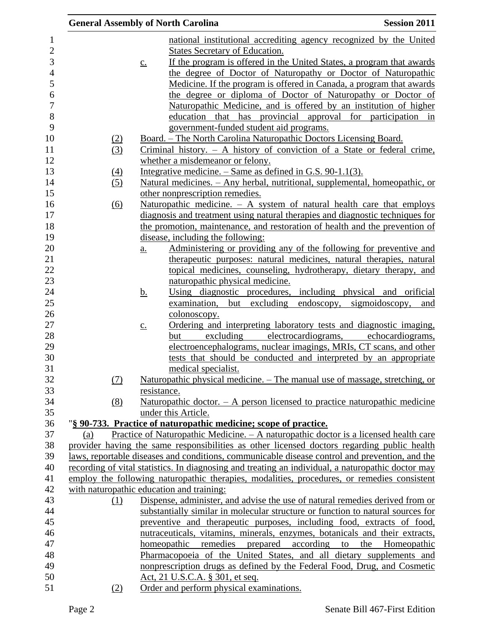|     | <b>General Assembly of North Carolina</b>                                                                                                                                                         | <b>Session 2011</b> |
|-----|---------------------------------------------------------------------------------------------------------------------------------------------------------------------------------------------------|---------------------|
|     | national institutional accrediting agency recognized by the United                                                                                                                                |                     |
|     | States Secretary of Education.                                                                                                                                                                    |                     |
|     | If the program is offered in the United States, a program that awards<br>$\underline{c}$ .                                                                                                        |                     |
|     | the degree of Doctor of Naturopathy or Doctor of Naturopathic                                                                                                                                     |                     |
|     | Medicine. If the program is offered in Canada, a program that awards                                                                                                                              |                     |
|     | the degree or diploma of Doctor of Naturopathy or Doctor of                                                                                                                                       |                     |
|     | Naturopathic Medicine, and is offered by an institution of higher                                                                                                                                 |                     |
|     | education that has provincial approval for participation in                                                                                                                                       |                     |
|     | government-funded student aid programs.                                                                                                                                                           |                     |
| (2) | Board. – The North Carolina Naturopathic Doctors Licensing Board.                                                                                                                                 |                     |
| (3) | Criminal history. $-$ A history of conviction of a State or federal crime,                                                                                                                        |                     |
|     | whether a misdemeanor or felony.                                                                                                                                                                  |                     |
| (4) | Integrative medicine. $-$ Same as defined in G.S. 90-1.1(3).                                                                                                                                      |                     |
| (5) | Natural medicines. - Any herbal, nutritional, supplemental, homeopathic, or                                                                                                                       |                     |
|     | other nonprescription remedies.                                                                                                                                                                   |                     |
| (6) | Naturopathic medicine. $-$ A system of natural health care that employs                                                                                                                           |                     |
|     | diagnosis and treatment using natural therapies and diagnostic techniques for                                                                                                                     |                     |
|     | the promotion, maintenance, and restoration of health and the prevention of                                                                                                                       |                     |
|     | disease, including the following:                                                                                                                                                                 |                     |
|     | Administering or providing any of the following for preventive and<br>a.                                                                                                                          |                     |
|     | therapeutic purposes: natural medicines, natural therapies, natural<br>topical medicines, counseling, hydrotherapy, dietary therapy, and                                                          |                     |
|     | naturopathic physical medicine.                                                                                                                                                                   |                     |
|     | Using diagnostic procedures, including physical and orificial<br><u>b.</u>                                                                                                                        |                     |
|     | examination, but excluding endoscopy, sigmoidoscopy,                                                                                                                                              | and                 |
|     | colonoscopy.                                                                                                                                                                                      |                     |
|     | Ordering and interpreting laboratory tests and diagnostic imaging,<br>$\underline{c}$ .                                                                                                           |                     |
|     | excluding electrocardiograms, echocardiograms,<br>but                                                                                                                                             |                     |
|     | electroencephalograms, nuclear imagings, MRIs, CT scans, and other                                                                                                                                |                     |
|     | tests that should be conducted and interpreted by an appropriate                                                                                                                                  |                     |
|     | medical specialist.                                                                                                                                                                               |                     |
| (7) | Naturopathic physical medicine. – The manual use of massage, stretching, or                                                                                                                       |                     |
|     | resistance.                                                                                                                                                                                       |                     |
| (8) | Naturopathic doctor. $-$ A person licensed to practice naturopathic medicine                                                                                                                      |                     |
|     | under this Article.                                                                                                                                                                               |                     |
|     | "§ 90-733. Practice of naturopathic medicine; scope of practice.                                                                                                                                  |                     |
| (a) | Practice of Naturopathic Medicine. - A naturopathic doctor is a licensed health care                                                                                                              |                     |
|     | provider having the same responsibilities as other licensed doctors regarding public health                                                                                                       |                     |
|     | laws, reportable diseases and conditions, communicable disease control and prevention, and the                                                                                                    |                     |
|     | recording of vital statistics. In diagnosing and treating an individual, a naturopathic doctor may<br>employ the following naturopathic therapies, modalities, procedures, or remedies consistent |                     |
|     | with naturopathic education and training:                                                                                                                                                         |                     |
| (1) | Dispense, administer, and advise the use of natural remedies derived from or                                                                                                                      |                     |
|     | substantially similar in molecular structure or function to natural sources for                                                                                                                   |                     |
|     | preventive and therapeutic purposes, including food, extracts of food,                                                                                                                            |                     |
|     | nutraceuticals, vitamins, minerals, enzymes, botanicals and their extracts,                                                                                                                       |                     |
|     | remedies<br>prepared<br>according<br>homeopathic<br>to                                                                                                                                            | the Homeopathic     |
|     | Pharmacopoeia of the United States, and all dietary supplements and                                                                                                                               |                     |
|     | nonprescription drugs as defined by the Federal Food, Drug, and Cosmetic                                                                                                                          |                     |
|     | <u>Act, 21 U.S.C.A. § 301, et seq.</u>                                                                                                                                                            |                     |
| (2) | Order and perform physical examinations.                                                                                                                                                          |                     |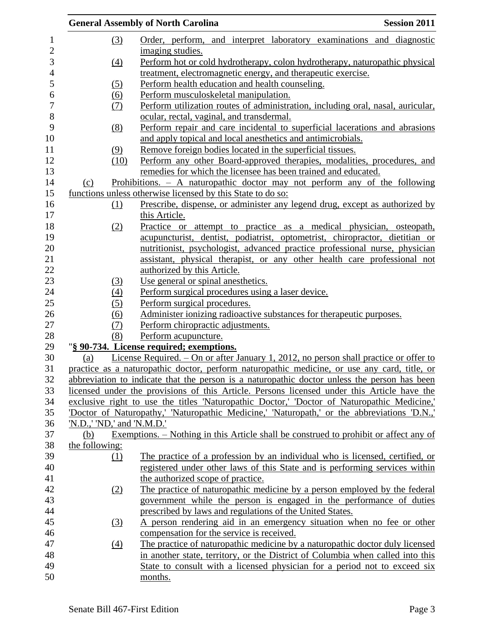|                            |                   | <b>General Assembly of North Carolina</b>                                                    | <b>Session 2011</b> |
|----------------------------|-------------------|----------------------------------------------------------------------------------------------|---------------------|
|                            | (3)               | Order, perform, and interpret laboratory examinations and diagnostic<br>imaging studies.     |                     |
|                            | (4)               | Perform hot or cold hydrotherapy, colon hydrotherapy, naturopathic physical                  |                     |
|                            |                   | treatment, electromagnetic energy, and therapeutic exercise.                                 |                     |
|                            | (5)               | Perform health education and health counseling.                                              |                     |
|                            | (6)               | Perform musculoskeletal manipulation.                                                        |                     |
|                            | <u>(7)</u>        | Perform utilization routes of administration, including oral, nasal, auricular,              |                     |
|                            |                   | ocular, rectal, vaginal, and transdermal.                                                    |                     |
|                            | (8)               | Perform repair and care incidental to superficial lacerations and abrasions                  |                     |
|                            |                   | and apply topical and local anesthetics and antimicrobials.                                  |                     |
|                            | (9)               | Remove foreign bodies located in the superficial tissues.                                    |                     |
|                            | (10)              | Perform any other Board-approved therapies, modalities, procedures, and                      |                     |
|                            |                   | remedies for which the licensee has been trained and educated.                               |                     |
| (c)                        |                   | Prohibitions. - A naturopathic doctor may not perform any of the following                   |                     |
|                            |                   | functions unless otherwise licensed by this State to do so:                                  |                     |
|                            | (1)               | Prescribe, dispense, or administer any legend drug, except as authorized by                  |                     |
|                            |                   | this Article.                                                                                |                     |
|                            | (2)               | Practice or attempt to practice as a medical physician, osteopath,                           |                     |
|                            |                   | acupuncturist, dentist, podiatrist, optometrist, chiropractor, dietitian or                  |                     |
|                            |                   | nutritionist, psychologist, advanced practice professional nurse, physician                  |                     |
|                            |                   | assistant, physical therapist, or any other health care professional not                     |                     |
|                            |                   | authorized by this Article.                                                                  |                     |
|                            | (3)               | Use general or spinal anesthetics.                                                           |                     |
|                            | (4)               | Perform surgical procedures using a laser device.                                            |                     |
|                            | (5)               | Perform surgical procedures.                                                                 |                     |
|                            | (6)               | Administer ionizing radioactive substances for therapeutic purposes.                         |                     |
|                            | <u>(7)</u>        | Perform chiropractic adjustments.                                                            |                     |
|                            | (8)               | Perform acupuncture.                                                                         |                     |
|                            |                   | "§ 90-734. License required; exemptions.                                                     |                     |
| (a)                        |                   | License Required. - On or after January 1, 2012, no person shall practice or offer to        |                     |
|                            |                   | practice as a naturopathic doctor, perform naturopathic medicine, or use any card, title, or |                     |
|                            |                   | abbreviation to indicate that the person is a naturopathic doctor unless the person has been |                     |
|                            |                   | licensed under the provisions of this Article. Persons licensed under this Article have the  |                     |
|                            |                   | exclusive right to use the titles 'Naturopathic Doctor,' 'Doctor of Naturopathic Medicine,'  |                     |
|                            |                   | 'Doctor of Naturopathy,' 'Naturopathic Medicine,' 'Naturopath,' or the abbreviations 'D.N.,' |                     |
| 'N.D.,' 'ND,' and 'N.M.D.' |                   |                                                                                              |                     |
| (b)                        |                   | Exemptions. – Nothing in this Article shall be construed to prohibit or affect any of        |                     |
| the following:             |                   |                                                                                              |                     |
|                            | (1)               | The practice of a profession by an individual who is licensed, certified, or                 |                     |
|                            |                   | registered under other laws of this State and is performing services within                  |                     |
|                            |                   | the authorized scope of practice.                                                            |                     |
|                            | (2)               | The practice of naturopathic medicine by a person employed by the federal                    |                     |
|                            |                   | government while the person is engaged in the performance of duties                          |                     |
|                            |                   | prescribed by laws and regulations of the United States.                                     |                     |
|                            | (3)               | A person rendering aid in an emergency situation when no fee or other                        |                     |
|                            |                   | compensation for the service is received.                                                    |                     |
|                            | $\underline{(4)}$ | The practice of naturopathic medicine by a naturopathic doctor duly licensed                 |                     |
|                            |                   | in another state, territory, or the District of Columbia when called into this               |                     |
|                            |                   | State to consult with a licensed physician for a period not to exceed six                    |                     |
|                            |                   | months.                                                                                      |                     |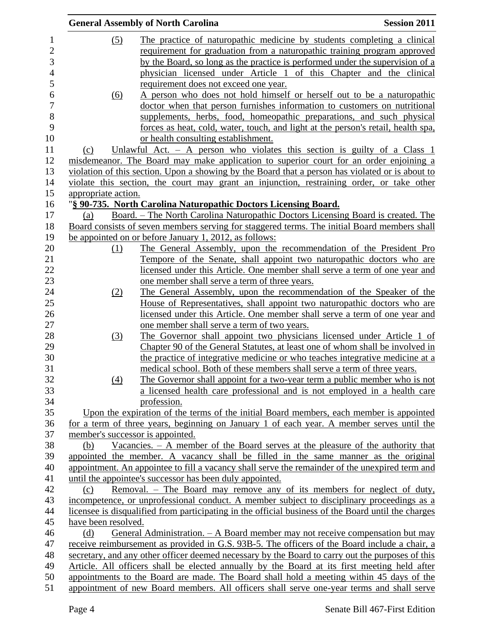|                     | <b>General Assembly of North Carolina</b>                                                           | <b>Session 2011</b> |
|---------------------|-----------------------------------------------------------------------------------------------------|---------------------|
| (5)                 | The practice of naturopathic medicine by students completing a clinical                             |                     |
|                     | requirement for graduation from a naturopathic training program approved                            |                     |
|                     | by the Board, so long as the practice is performed under the supervision of a                       |                     |
|                     | physician licensed under Article 1 of this Chapter and the clinical                                 |                     |
|                     | requirement does not exceed one year.                                                               |                     |
|                     | A person who does not hold himself or herself out to be a naturopathic                              |                     |
| (6)                 | doctor when that person furnishes information to customers on nutritional                           |                     |
|                     |                                                                                                     |                     |
|                     | supplements, herbs, food, homeopathic preparations, and such physical                               |                     |
|                     | forces as heat, cold, water, touch, and light at the person's retail, health spa,                   |                     |
|                     | or health consulting establishment.                                                                 |                     |
| (c)                 | Unlawful Act. $-$ A person who violates this section is guilty of a Class 1                         |                     |
|                     | misdemeanor. The Board may make application to superior court for an order enjoining a              |                     |
|                     | violation of this section. Upon a showing by the Board that a person has violated or is about to    |                     |
|                     | violate this section, the court may grant an injunction, restraining order, or take other           |                     |
| appropriate action. |                                                                                                     |                     |
|                     | "§ 90-735. North Carolina Naturopathic Doctors Licensing Board.                                     |                     |
| (a)                 | Board. - The North Carolina Naturopathic Doctors Licensing Board is created. The                    |                     |
|                     | Board consists of seven members serving for staggered terms. The initial Board members shall        |                     |
|                     | be appointed on or before January 1, 2012, as follows:                                              |                     |
| (1)                 | The General Assembly, upon the recommendation of the President Pro                                  |                     |
|                     | Tempore of the Senate, shall appoint two naturopathic doctors who are                               |                     |
|                     | licensed under this Article. One member shall serve a term of one year and                          |                     |
|                     | one member shall serve a term of three years.                                                       |                     |
| (2)                 | The General Assembly, upon the recommendation of the Speaker of the                                 |                     |
|                     | House of Representatives, shall appoint two naturopathic doctors who are                            |                     |
|                     | licensed under this Article. One member shall serve a term of one year and                          |                     |
|                     | one member shall serve a term of two years.                                                         |                     |
| (3)                 | The Governor shall appoint two physicians licensed under Article 1 of                               |                     |
|                     | Chapter 90 of the General Statutes, at least one of whom shall be involved in                       |                     |
|                     | the practice of integrative medicine or who teaches integrative medicine at a                       |                     |
|                     | medical school. Both of these members shall serve a term of three years.                            |                     |
| (4)                 | The Governor shall appoint for a two-year term a public member who is not                           |                     |
|                     | a licensed health care professional and is not employed in a health care                            |                     |
|                     | profession.                                                                                         |                     |
|                     | Upon the expiration of the terms of the initial Board members, each member is appointed             |                     |
|                     | for a term of three years, beginning on January 1 of each year. A member serves until the           |                     |
|                     | member's successor is appointed.                                                                    |                     |
| (b)                 | Vacancies. $-$ A member of the Board serves at the pleasure of the authority that                   |                     |
|                     | appointed the member. A vacancy shall be filled in the same manner as the original                  |                     |
|                     | appointment. An appointee to fill a vacancy shall serve the remainder of the unexpired term and     |                     |
|                     | until the appointee's successor has been duly appointed.                                            |                     |
|                     | Removal. – The Board may remove any of its members for neglect of duty,                             |                     |
| (c)                 |                                                                                                     |                     |
|                     | incompetence, or unprofessional conduct. A member subject to disciplinary proceedings as a          |                     |
|                     | licensee is disqualified from participating in the official business of the Board until the charges |                     |
| have been resolved. |                                                                                                     |                     |
| (d)                 | General Administration. – A Board member may not receive compensation but may                       |                     |
|                     | receive reimbursement as provided in G.S. 93B-5. The officers of the Board include a chair, a       |                     |
|                     | secretary, and any other officer deemed necessary by the Board to carry out the purposes of this    |                     |
|                     | Article. All officers shall be elected annually by the Board at its first meeting held after        |                     |
|                     | appointments to the Board are made. The Board shall hold a meeting within 45 days of the            |                     |
|                     | appointment of new Board members. All officers shall serve one-year terms and shall serve           |                     |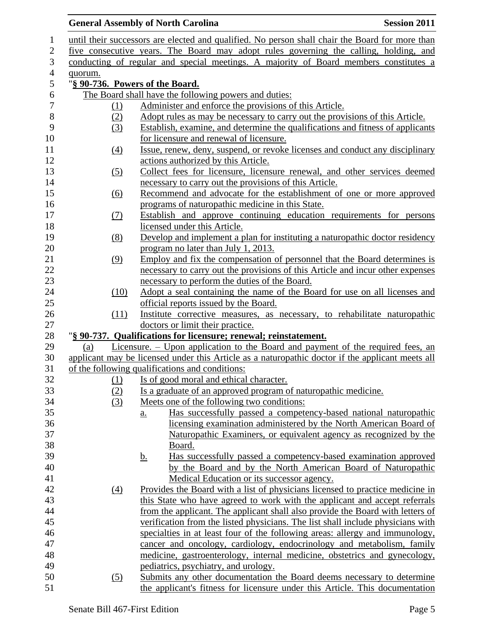## **General Assembly of North Carolina Session 2011**

| $\mathbf{1}$   |                                                                                       | until their successors are elected and qualified. No person shall chair the Board for more than  |  |  |
|----------------|---------------------------------------------------------------------------------------|--------------------------------------------------------------------------------------------------|--|--|
| $\overline{2}$ |                                                                                       | five consecutive years. The Board may adopt rules governing the calling, holding, and            |  |  |
| 3              | conducting of regular and special meetings. A majority of Board members constitutes a |                                                                                                  |  |  |
| $\overline{4}$ | quorum.                                                                               |                                                                                                  |  |  |
| 5              | "§ 90-736. Powers of the Board.                                                       |                                                                                                  |  |  |
| $\sqrt{6}$     |                                                                                       | The Board shall have the following powers and duties:                                            |  |  |
| $\tau$         | <u>(1)</u>                                                                            | Administer and enforce the provisions of this Article.                                           |  |  |
| $8\,$          | (2)                                                                                   | Adopt rules as may be necessary to carry out the provisions of this Article.                     |  |  |
| 9              | (3)                                                                                   | Establish, examine, and determine the qualifications and fitness of applicants                   |  |  |
| 10             |                                                                                       | for licensure and renewal of licensure.                                                          |  |  |
| 11             | $\underline{(4)}$                                                                     | Issue, renew, deny, suspend, or revoke licenses and conduct any disciplinary                     |  |  |
| 12             |                                                                                       | actions authorized by this Article.                                                              |  |  |
| 13             | (5)                                                                                   | Collect fees for licensure, licensure renewal, and other services deemed                         |  |  |
| 14             |                                                                                       | necessary to carry out the provisions of this Article.                                           |  |  |
| 15             | (6)                                                                                   | Recommend and advocate for the establishment of one or more approved                             |  |  |
| 16             |                                                                                       | programs of naturopathic medicine in this State.                                                 |  |  |
| 17             | (7)                                                                                   | Establish and approve continuing education requirements for persons                              |  |  |
| 18             |                                                                                       | licensed under this Article.                                                                     |  |  |
| 19             | (8)                                                                                   | Develop and implement a plan for instituting a naturopathic doctor residency                     |  |  |
| 20             |                                                                                       | program no later than July 1, 2013.                                                              |  |  |
| 21             | (9)                                                                                   | Employ and fix the compensation of personnel that the Board determines is                        |  |  |
| 22             |                                                                                       | necessary to carry out the provisions of this Article and incur other expenses                   |  |  |
| 23             |                                                                                       | necessary to perform the duties of the Board.                                                    |  |  |
| 24             | (10)                                                                                  | Adopt a seal containing the name of the Board for use on all licenses and                        |  |  |
| 25             |                                                                                       | official reports issued by the Board.                                                            |  |  |
| 26             | (11)                                                                                  | Institute corrective measures, as necessary, to rehabilitate naturopathic                        |  |  |
| 27             |                                                                                       | doctors or limit their practice.                                                                 |  |  |
| 28             |                                                                                       | "§ 90-737. Qualifications for licensure; renewal; reinstatement.                                 |  |  |
| 29             | (a)                                                                                   | <u>Licensure. – Upon application to the Board and payment of the required fees, and</u>          |  |  |
| 30             |                                                                                       | applicant may be licensed under this Article as a naturopathic doctor if the applicant meets all |  |  |
| 31             |                                                                                       | of the following qualifications and conditions:                                                  |  |  |
| 32             | (1)                                                                                   | Is of good moral and ethical character.                                                          |  |  |
| 33             | (2)                                                                                   | Is a graduate of an approved program of naturopathic medicine.                                   |  |  |
| 34             | (3)                                                                                   | Meets one of the following two conditions:                                                       |  |  |
| 35             |                                                                                       | Has successfully passed a competency-based national naturopathic<br>$\underline{a}$ .            |  |  |
| 36             |                                                                                       | licensing examination administered by the North American Board of                                |  |  |
| 37             |                                                                                       | Naturopathic Examiners, or equivalent agency as recognized by the                                |  |  |
| 38             |                                                                                       | Board.                                                                                           |  |  |
| 39             |                                                                                       | Has successfully passed a competency-based examination approved<br><u>b.</u>                     |  |  |
| 40             |                                                                                       | by the Board and by the North American Board of Naturopathic                                     |  |  |
| 41             |                                                                                       | Medical Education or its successor agency.                                                       |  |  |
| 42             | $\left(4\right)$                                                                      | Provides the Board with a list of physicians licensed to practice medicine in                    |  |  |
| 43             |                                                                                       | this State who have agreed to work with the applicant and accept referrals                       |  |  |
| 44             |                                                                                       | from the applicant. The applicant shall also provide the Board with letters of                   |  |  |
| 45             |                                                                                       | verification from the listed physicians. The list shall include physicians with                  |  |  |
| 46             |                                                                                       | specialties in at least four of the following areas: allergy and immunology,                     |  |  |
| 47             |                                                                                       | cancer and oncology, cardiology, endocrinology and metabolism, family                            |  |  |
| 48             |                                                                                       | medicine, gastroenterology, internal medicine, obstetrics and gynecology,                        |  |  |
| 49             |                                                                                       | pediatrics, psychiatry, and urology.                                                             |  |  |
| 50             | <u>(5)</u>                                                                            | Submits any other documentation the Board deems necessary to determine                           |  |  |
| 51             |                                                                                       | the applicant's fitness for licensure under this Article. This documentation                     |  |  |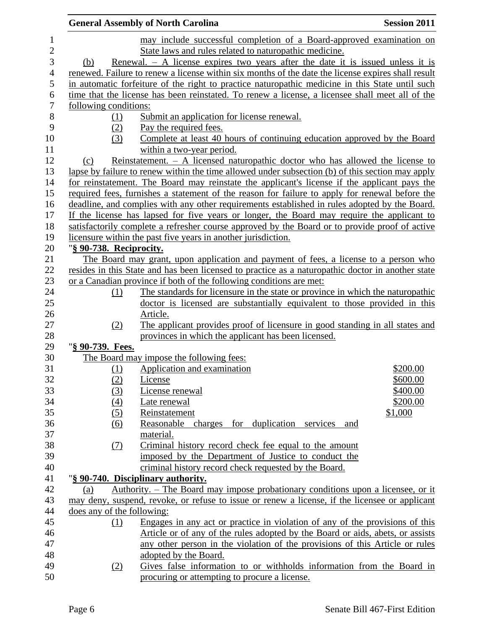|                |                            | <b>General Assembly of North Carolina</b>                                                                                                                                          | <b>Session 2011</b> |
|----------------|----------------------------|------------------------------------------------------------------------------------------------------------------------------------------------------------------------------------|---------------------|
| $\mathbf{1}$   |                            | may include successful completion of a Board-approved examination on                                                                                                               |                     |
| $\overline{2}$ |                            | State laws and rules related to naturopathic medicine.                                                                                                                             |                     |
| 3              | (b)                        | Renewal. $-$ A license expires two years after the date it is issued unless it is                                                                                                  |                     |
| $\overline{4}$ |                            | renewed. Failure to renew a license within six months of the date the license expires shall result                                                                                 |                     |
| 5              |                            | in automatic forfeiture of the right to practice naturopathic medicine in this State until such                                                                                    |                     |
| 6              |                            | time that the license has been reinstated. To renew a license, a licensee shall meet all of the                                                                                    |                     |
| $\overline{7}$ | following conditions:      |                                                                                                                                                                                    |                     |
| 8              | (1)                        | Submit an application for license renewal.                                                                                                                                         |                     |
| 9              | (2)                        | Pay the required fees.                                                                                                                                                             |                     |
| 10             | (3)                        | Complete at least 40 hours of continuing education approved by the Board                                                                                                           |                     |
| 11             |                            | within a two-year period.                                                                                                                                                          |                     |
| 12             | (c)                        | Reinstatement. $-$ A licensed naturopathic doctor who has allowed the license to                                                                                                   |                     |
| 13             |                            | lapse by failure to renew within the time allowed under subsection (b) of this section may apply                                                                                   |                     |
| 14             |                            | for reinstatement. The Board may reinstate the applicant's license if the applicant pays the                                                                                       |                     |
| 15             |                            | required fees, furnishes a statement of the reason for failure to apply for renewal before the                                                                                     |                     |
| 16             |                            | deadline, and complies with any other requirements established in rules adopted by the Board.                                                                                      |                     |
| 17             |                            | If the license has lapsed for five years or longer, the Board may require the applicant to                                                                                         |                     |
| 18             |                            | satisfactorily complete a refresher course approved by the Board or to provide proof of active                                                                                     |                     |
| 19             |                            | licensure within the past five years in another jurisdiction.                                                                                                                      |                     |
| 20             | "§ 90-738. Reciprocity.    |                                                                                                                                                                                    |                     |
| 21             |                            | The Board may grant, upon application and payment of fees, a license to a person who                                                                                               |                     |
| 22             |                            | resides in this State and has been licensed to practice as a naturopathic doctor in another state                                                                                  |                     |
| 23             |                            | or a Canadian province if both of the following conditions are met:                                                                                                                |                     |
| 24             | (1)                        | The standards for licensure in the state or province in which the naturopathic                                                                                                     |                     |
| 25             |                            | doctor is licensed are substantially equivalent to those provided in this                                                                                                          |                     |
| 26             |                            | Article.                                                                                                                                                                           |                     |
| 27             | (2)                        | The applicant provides proof of licensure in good standing in all states and                                                                                                       |                     |
| 28             |                            | provinces in which the applicant has been licensed.                                                                                                                                |                     |
| 29             | "§ 90-739. Fees.           |                                                                                                                                                                                    |                     |
| 30             |                            | The Board may impose the following fees:                                                                                                                                           |                     |
| 31             | (1)                        | Application and examination                                                                                                                                                        | \$200.00            |
| 32             | (2)                        | License                                                                                                                                                                            | \$600.00            |
| 33             | (3)                        | License renewal                                                                                                                                                                    | \$400.00            |
| 34             | (4)                        | Late renewal                                                                                                                                                                       | \$200.00            |
| 35             | (5)                        | Reinstatement                                                                                                                                                                      | \$1,000             |
| 36             | (6)                        | Reasonable charges for duplication services and                                                                                                                                    |                     |
| 37             |                            | material.                                                                                                                                                                          |                     |
| 38             | (7)                        | Criminal history record check fee equal to the amount                                                                                                                              |                     |
| 39             |                            | imposed by the Department of Justice to conduct the                                                                                                                                |                     |
| 40             |                            | criminal history record check requested by the Board.                                                                                                                              |                     |
| 41<br>42       |                            | "§ 90-740. Disciplinary authority.                                                                                                                                                 |                     |
| 43             | (a)                        | Authority. – The Board may impose probationary conditions upon a licensee, or it<br>may deny, suspend, revoke, or refuse to issue or renew a license, if the licensee or applicant |                     |
| 44             | does any of the following: |                                                                                                                                                                                    |                     |
| 45             | (1)                        | Engages in any act or practice in violation of any of the provisions of this                                                                                                       |                     |
| 46             |                            | Article or of any of the rules adopted by the Board or aids, abets, or assists                                                                                                     |                     |
| 47             |                            | any other person in the violation of the provisions of this Article or rules                                                                                                       |                     |
| 48             |                            | adopted by the Board.                                                                                                                                                              |                     |
| 49             | (2)                        | Gives false information to or withholds information from the Board in                                                                                                              |                     |
| 50             |                            | procuring or attempting to procure a license.                                                                                                                                      |                     |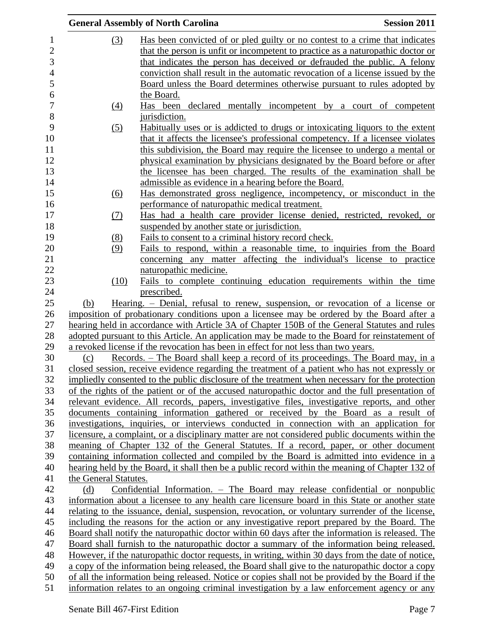|                       | <b>General Assembly of North Carolina</b>                                                                                                                                                | <b>Session 2011</b> |
|-----------------------|------------------------------------------------------------------------------------------------------------------------------------------------------------------------------------------|---------------------|
| (3)                   | Has been convicted of or pled guilty or no contest to a crime that indicates                                                                                                             |                     |
|                       | that the person is unfit or incompetent to practice as a naturopathic doctor or                                                                                                          |                     |
|                       | that indicates the person has deceived or defrauded the public. A felony                                                                                                                 |                     |
|                       | conviction shall result in the automatic revocation of a license issued by the                                                                                                           |                     |
|                       | Board unless the Board determines otherwise pursuant to rules adopted by                                                                                                                 |                     |
|                       | the Board.                                                                                                                                                                               |                     |
| (4)                   | Has been declared mentally incompetent by a court of competent                                                                                                                           |                     |
|                       | jurisdiction.                                                                                                                                                                            |                     |
| (5)                   | Habitually uses or is addicted to drugs or intoxicating liquors to the extent                                                                                                            |                     |
|                       | that it affects the licensee's professional competency. If a licensee violates                                                                                                           |                     |
|                       | this subdivision, the Board may require the licensee to undergo a mental or                                                                                                              |                     |
|                       | physical examination by physicians designated by the Board before or after                                                                                                               |                     |
|                       | the licensee has been charged. The results of the examination shall be                                                                                                                   |                     |
|                       | admissible as evidence in a hearing before the Board.                                                                                                                                    |                     |
| (6)                   | Has demonstrated gross negligence, incompetency, or misconduct in the                                                                                                                    |                     |
|                       | performance of naturopathic medical treatment.                                                                                                                                           |                     |
| (7)                   | Has had a health care provider license denied, restricted, revoked, or                                                                                                                   |                     |
|                       | suspended by another state or jurisdiction.                                                                                                                                              |                     |
| (8)                   | Fails to consent to a criminal history record check.                                                                                                                                     |                     |
| (9)                   | Fails to respond, within a reasonable time, to inquiries from the Board                                                                                                                  |                     |
|                       | concerning any matter affecting the individual's license to practice                                                                                                                     |                     |
|                       | naturopathic medicine.                                                                                                                                                                   |                     |
| (10)                  | Fails to complete continuing education requirements within the time                                                                                                                      |                     |
|                       | prescribed.                                                                                                                                                                              |                     |
| (b)                   | Hearing. – Denial, refusal to renew, suspension, or revocation of a license or                                                                                                           |                     |
|                       | imposition of probationary conditions upon a licensee may be ordered by the Board after a                                                                                                |                     |
|                       | hearing held in accordance with Article 3A of Chapter 150B of the General Statutes and rules                                                                                             |                     |
|                       | adopted pursuant to this Article. An application may be made to the Board for reinstatement of                                                                                           |                     |
|                       | a revoked license if the revocation has been in effect for not less than two years.                                                                                                      |                     |
| (c)                   | Records. – The Board shall keep a record of its proceedings. The Board may, in a                                                                                                         |                     |
|                       | closed session, receive evidence regarding the treatment of a patient who has not expressly or                                                                                           |                     |
|                       | impliedly consented to the public disclosure of the treatment when necessary for the protection                                                                                          |                     |
|                       | of the rights of the patient or of the accused naturopathic doctor and the full presentation of                                                                                          |                     |
|                       | relevant evidence. All records, papers, investigative files, investigative reports, and other                                                                                            |                     |
|                       | documents containing information gathered or received by the Board as a result of                                                                                                        |                     |
|                       | investigations, inquiries, or interviews conducted in connection with an application for                                                                                                 |                     |
|                       | licensure, a complaint, or a disciplinary matter are not considered public documents within the<br>meaning of Chapter 132 of the General Statutes. If a record, paper, or other document |                     |
|                       | containing information collected and compiled by the Board is admitted into evidence in a                                                                                                |                     |
|                       | hearing held by the Board, it shall then be a public record within the meaning of Chapter 132 of                                                                                         |                     |
| the General Statutes. |                                                                                                                                                                                          |                     |
| (d)                   | Confidential Information. - The Board may release confidential or nonpublic                                                                                                              |                     |
|                       | information about a licensee to any health care licensure board in this State or another state                                                                                           |                     |
|                       | relating to the issuance, denial, suspension, revocation, or voluntary surrender of the license,                                                                                         |                     |
|                       | including the reasons for the action or any investigative report prepared by the Board. The                                                                                              |                     |
|                       | Board shall notify the naturopathic doctor within 60 days after the information is released. The                                                                                         |                     |
|                       | Board shall furnish to the naturopathic doctor a summary of the information being released.                                                                                              |                     |
|                       | However, if the naturopathic doctor requests, in writing, within 30 days from the date of notice,                                                                                        |                     |
|                       | a copy of the information being released, the Board shall give to the naturopathic doctor a copy                                                                                         |                     |
|                       | of all the information being released. Notice or copies shall not be provided by the Board if the                                                                                        |                     |
|                       | information relates to an ongoing criminal investigation by a law enforcement agency or any                                                                                              |                     |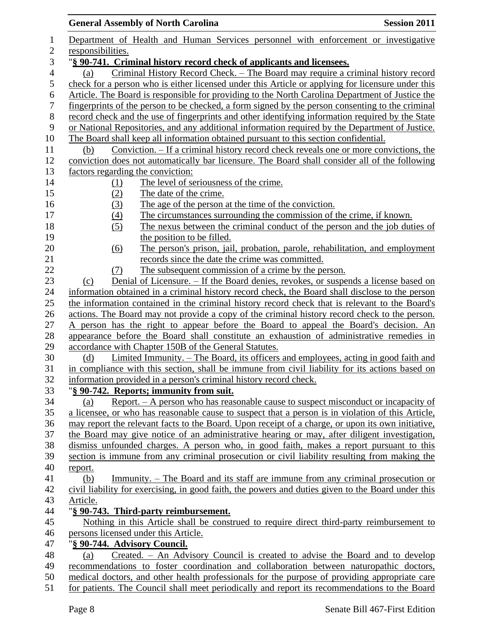|                          | <b>General Assembly of North Carolina</b>                                                          | <b>Session 2011</b> |
|--------------------------|----------------------------------------------------------------------------------------------------|---------------------|
| 1                        | Department of Health and Human Services personnel with enforcement or investigative                |                     |
| 2                        | responsibilities.                                                                                  |                     |
| 3                        | "§ 90-741. Criminal history record check of applicants and licensees.                              |                     |
| $\overline{\mathcal{A}}$ | Criminal History Record Check. – The Board may require a criminal history record<br>(a)            |                     |
| 5                        | check for a person who is either licensed under this Article or applying for licensure under this  |                     |
| 6                        | Article. The Board is responsible for providing to the North Carolina Department of Justice the    |                     |
| $\tau$                   | fingerprints of the person to be checked, a form signed by the person consenting to the criminal   |                     |
| $8\,$                    | record check and the use of fingerprints and other identifying information required by the State   |                     |
| 9                        | or National Repositories, and any additional information required by the Department of Justice.    |                     |
| 10                       | The Board shall keep all information obtained pursuant to this section confidential.               |                     |
|                          | Conviction. – If a criminal history record check reveals one or more convictions, the<br>(b)       |                     |
|                          | conviction does not automatically bar licensure. The Board shall consider all of the following     |                     |
|                          | factors regarding the conviction:                                                                  |                     |
|                          | The level of seriousness of the crime.<br>(1)                                                      |                     |
|                          | (2)<br>The date of the crime.                                                                      |                     |
|                          | The age of the person at the time of the conviction.<br>(3)                                        |                     |
|                          | The circumstances surrounding the commission of the crime, if known.<br>$\left(4\right)$           |                     |
|                          | (5)<br>The nexus between the criminal conduct of the person and the job duties of                  |                     |
|                          | the position to be filled.                                                                         |                     |
|                          | The person's prison, jail, probation, parole, rehabilitation, and employment<br>(6)                |                     |
|                          | records since the date the crime was committed.                                                    |                     |
|                          | The subsequent commission of a crime by the person.<br>(7)                                         |                     |
|                          | Denial of Licensure. – If the Board denies, revokes, or suspends a license based on<br>(c)         |                     |
|                          | information obtained in a criminal history record check, the Board shall disclose to the person    |                     |
|                          | the information contained in the criminal history record check that is relevant to the Board's     |                     |
|                          | actions. The Board may not provide a copy of the criminal history record check to the person.      |                     |
|                          | A person has the right to appear before the Board to appeal the Board's decision. An               |                     |
|                          | appearance before the Board shall constitute an exhaustion of administrative remedies in           |                     |
|                          | accordance with Chapter 150B of the General Statutes.                                              |                     |
|                          | Limited Immunity. - The Board, its officers and employees, acting in good faith and<br>(d)         |                     |
|                          | in compliance with this section, shall be immune from civil liability for its actions based on     |                     |
|                          | information provided in a person's criminal history record check.                                  |                     |
|                          | "§ 90-742. Reports; immunity from suit.                                                            |                     |
|                          | Report. – A person who has reasonable cause to suspect misconduct or incapacity of<br>(a)          |                     |
|                          | a licensee, or who has reasonable cause to suspect that a person is in violation of this Article,  |                     |
|                          | may report the relevant facts to the Board. Upon receipt of a charge, or upon its own initiative,  |                     |
|                          | the Board may give notice of an administrative hearing or may, after diligent investigation,       |                     |
|                          | dismiss unfounded charges. A person who, in good faith, makes a report pursuant to this            |                     |
|                          | section is immune from any criminal prosecution or civil liability resulting from making the       |                     |
|                          | report.                                                                                            |                     |
|                          | <u>Immunity. – The Board and its staff are immune from any criminal prosecution or</u><br>(b)      |                     |
|                          | civil liability for exercising, in good faith, the powers and duties given to the Board under this |                     |
|                          | Article.                                                                                           |                     |
|                          | "§ 90-743. Third-party reimbursement.                                                              |                     |
|                          | Nothing in this Article shall be construed to require direct third-party reimbursement to          |                     |
|                          | persons licensed under this Article.                                                               |                     |
|                          | "§ 90-744. Advisory Council.                                                                       |                     |
|                          | Created. – An Advisory Council is created to advise the Board and to develop<br>(a)                |                     |
|                          | recommendations to foster coordination and collaboration between naturopathic doctors,             |                     |
|                          | medical doctors, and other health professionals for the purpose of providing appropriate care      |                     |
|                          | for patients. The Council shall meet periodically and report its recommendations to the Board      |                     |